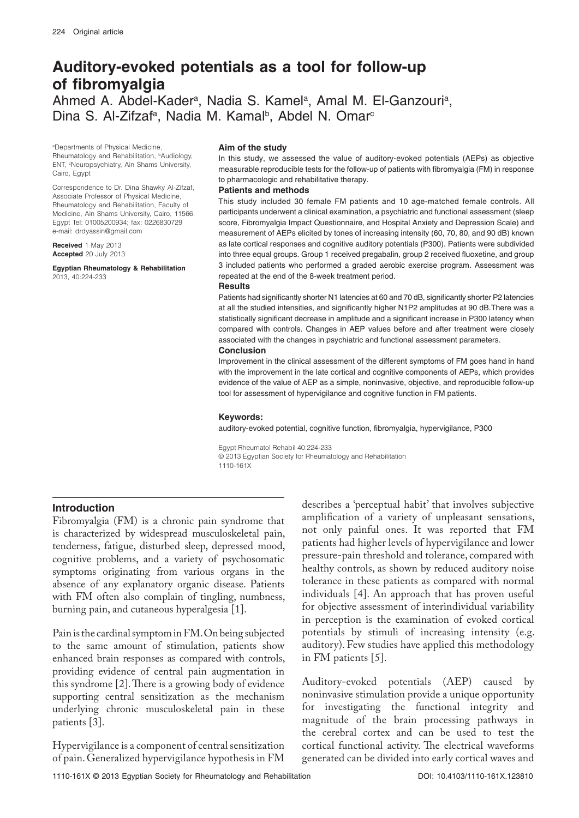# **Auditory-evoked potentials as a tool for follow-up of fibromyalgia** Ahmed A. Abdel-Kader<sup>a</sup>, Nadia S. Kamel<sup>a</sup>, Amal M. El-Ganzouri<sup>a</sup>, Dina S. Al-Zifzaf<sup>a</sup>, Nadia M. Kamal<sup>b</sup>, Abdel N. Omar<sup>c</sup>

a Departments of Physical Medicine, Rheumatology and Rehabilitation, <sup>b</sup>Audiology, ENT, <sup>e</sup>Neuropsychiatry, Ain Shams University, Cairo, Egypt

Correspondence to Dr. Dina Shawky Al-Zifzaf, Associate Professor of Physical Medicine, Rheumatology and Rehabilitation, Faculty of Medicine, Ain Shams University, Cairo, 11566, Egypt Tel: 01005200934; fax: 0226830729 e-mail: drdyassin@gmail.com

**Received** 1 May 2013 **Accepted** 20 July 2013

**Egyptian Rheumatology & Rehabilitation**  2013, 40:224-233

#### **Aim of the study**

In this study, we assessed the value of auditory-evoked potentials (AEPs) as objective measurable reproducible tests for the follow-up of patients with fibromyalgia (FM) in response to pharmacologic and rehabilitative therapy.

#### **Patients and methods**

This study included 30 female FM patients and 10 age-matched female controls. All participants underwent a clinical examination, a psychiatric and functional assessment (sleep score, Fibromyalgia Impact Questionnaire, and Hospital Anxiety and Depression Scale) and measurement of AEPs elicited by tones of increasing intensity (60, 70, 80, and 90 dB) known as late cortical responses and cognitive auditory potentials (P300). Patients were subdivided into three equal groups. Group 1 received pregabalin, group 2 received fluoxetine, and group 3 included patients who performed a graded aerobic exercise program. Assessment was repeated at the end of the 8-week treatment period.

#### **Results**

Patients had significantly shorter N1 latencies at 60 and 70 dB, significantly shorter P2 latencies at all the studied intensities, and significantly higher N1P2 amplitudes at 90 dB.There was a statistically significant decrease in amplitude and a significant increase in P300 latency when compared with controls. Changes in AEP values before and after treatment were closely associated with the changes in psychiatric and functional assessment parameters.

#### **Conclusion**

Improvement in the clinical assessment of the different symptoms of FM goes hand in hand with the improvement in the late cortical and cognitive components of AEPs, which provides evidence of the value of AEP as a simple, noninvasive, objective, and reproducible follow-up tool for assessment of hypervigilance and cognitive function in FM patients.

#### **Keywords:**

auditory-evoked potential, cognitive function, fibromyalgia, hypervigilance, P300

Egypt Rheumatol Rehabil 40:224-233 © 2013 Egyptian Society for Rheumatology and Rehabilitation 1110-161X

### **Introduction**

Fibromyalgia (FM) is a chronic pain syndrome that is characterized by widespread musculoskeletal pain, tenderness, fatigue, disturbed sleep, depressed mood, cognitive problems, and a variety of psychosomatic symptoms originating from various organs in the absence of any explanatory organic disease. Patients with FM often also complain of tingling, numbness, burning pain, and cutaneous hyperalgesia [1].

Pain is the cardinal symptom in FM. On being subjected to the same amount of stimulation, patients show enhanced brain responses as compared with controls, providing evidence of central pain augmentation in this syndrome [2]. There is a growing body of evidence supporting central sensitization as the mechanism underlying chronic musculoskeletal pain in these patients [3].

Hypervigilance is a component of central sensitization of pain. Generalized hypervigilance hypothesis in FM

describes a 'perceptual habit' that involves subjective amplification of a variety of unpleasant sensations, not only painful ones. It was reported that FM patients had higher levels of hypervigilance and lower pressure-pain threshold and tolerance, compared with healthy controls, as shown by reduced auditory noise tolerance in these patients as compared with normal individuals [4]. An approach that has proven useful for objective assessment of interindividual variability in perception is the examination of evoked cortical potentials by stimuli of increasing intensity (e.g. auditory). Few studies have applied this methodology in FM patients [5].

Auditory-evoked potentials (AEP) caused by noninvasive stimulation provide a unique opportunity for investigating the functional integrity and magnitude of the brain processing pathways in the cerebral cortex and can be used to test the cortical functional activity. The electrical waveforms generated can be divided into early cortical waves and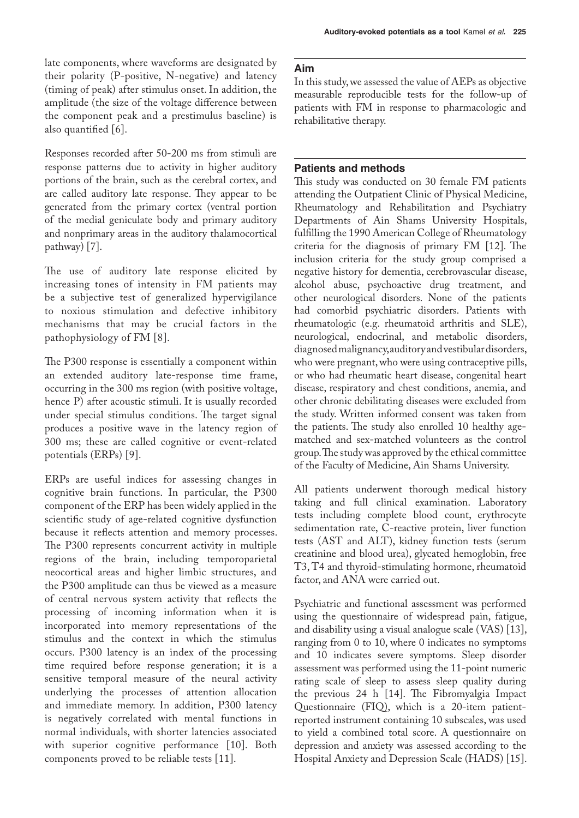late components, where waveforms are designated by their polarity (P-positive, N-negative) and latency (timing of peak) after stimulus onset. In addition, the amplitude (the size of the voltage difference between the component peak and a prestimulus baseline) is also quantified [6].

Responses recorded after 50-200 ms from stimuli are response patterns due to activity in higher auditory portions of the brain, such as the cerebral cortex, and are called auditory late response. They appear to be generated from the primary cortex (ventral portion of the medial geniculate body and primary auditory and nonprimary areas in the auditory thalamocortical pathway) [7].

The use of auditory late response elicited by increasing tones of intensity in FM patients may be a subjective test of generalized hypervigilance to noxious stimulation and defective inhibitory mechanisms that may be crucial factors in the pathophysiology of FM [8].

The P300 response is essentially a component within an extended auditory late-response time frame, occurring in the 300 ms region (with positive voltage, hence P) after acoustic stimuli. It is usually recorded under special stimulus conditions. The target signal produces a positive wave in the latency region of 300 ms; these are called cognitive or event-related potentials (ERPs) [9].

ERPs are useful indices for assessing changes in cognitive brain functions. In particular, the P300 component of the ERP has been widely applied in the scientific study of age-related cognitive dysfunction because it reflects attention and memory processes. The P300 represents concurrent activity in multiple regions of the brain, including temporoparietal neocortical areas and higher limbic structures, and the P300 amplitude can thus be viewed as a measure of central nervous system activity that reflects the processing of incoming information when it is incorporated into memory representations of the stimulus and the context in which the stimulus occurs. P300 latency is an index of the processing time required before response generation; it is a sensitive temporal measure of the neural activity underlying the processes of attention allocation and immediate memory. In addition, P300 latency is negatively correlated with mental functions in normal individuals, with shorter latencies associated with superior cognitive performance [10]. Both components proved to be reliable tests [11].

# **Aim**

In this study, we assessed the value of AEPs as objective measurable reproducible tests for the follow-up of patients with FM in response to pharmacologic and rehabilitative therapy.

**Auditory-evoked potentials as a tool** Kamel *et al***. 225**

## **Patients and methods**

This study was conducted on 30 female FM patients attending the Outpatient Clinic of Physical Medicine, Rheumatology and Rehabilitation and Psychiatry Departments of Ain Shams University Hospitals, fulfilling the 1990 American College of Rheumatology criteria for the diagnosis of primary FM [12]. The inclusion criteria for the study group comprised a negative history for dementia, cerebrovascular disease, alcohol abuse, psychoactive drug treatment, and other neurological disorders. None of the patients had comorbid psychiatric disorders. Patients with rheumatologic (e.g. rheumatoid arthritis and SLE), neurological, endocrinal, and metabolic disorders, diagnosed malignancy, auditory and vestibular disorders, who were pregnant, who were using contraceptive pills, or who had rheumatic heart disease, congenital heart disease, respiratory and chest conditions, anemia, and other chronic debilitating diseases were excluded from the study. Written informed consent was taken from the patients. The study also enrolled 10 healthy agematched and sex-matched volunteers as the control group. The study was approved by the ethical committee of the Faculty of Medicine, Ain Shams University.

All patients underwent thorough medical history taking and full clinical examination. Laboratory tests including complete blood count, erythrocyte sedimentation rate, C-reactive protein, liver function tests (AST and ALT), kidney function tests (serum creatinine and blood urea), glycated hemoglobin, free T3, T4 and thyroid-stimulating hormone, rheumatoid factor, and ANA were carried out.

Psychiatric and functional assessment was performed using the questionnaire of widespread pain, fatigue, and disability using a visual analogue scale (VAS) [13], ranging from 0 to 10, where 0 indicates no symptoms and 10 indicates severe symptoms. Sleep disorder assessment was performed using the 11-point numeric rating scale of sleep to assess sleep quality during the previous 24 h [14]. The Fibromyalgia Impact Questionnaire (FIQ), which is a 20-item patientreported instrument containing 10 subscales, was used to yield a combined total score. A questionnaire on depression and anxiety was assessed according to the Hospital Anxiety and Depression Scale (HADS) [15].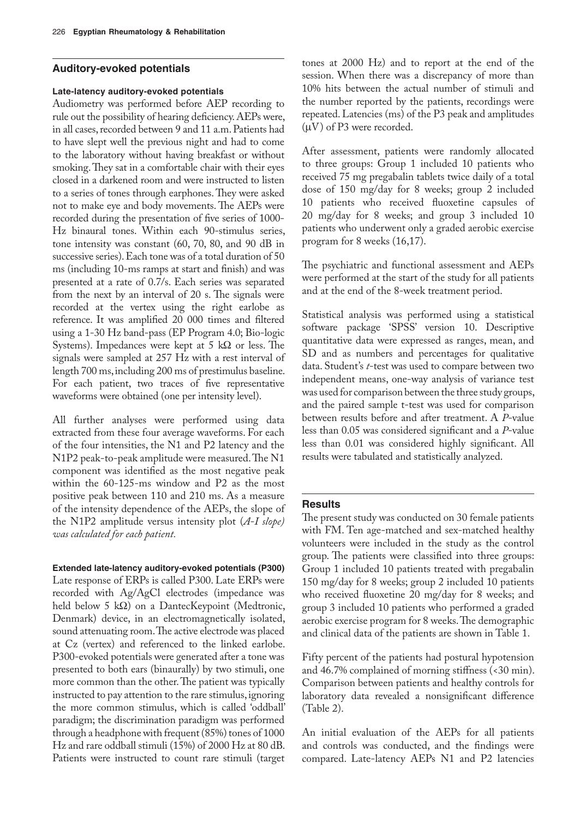### **Auditory-evoked potentials**

### **Late-latency auditory-evoked potentials**

Audiometry was performed before AEP recording to rule out the possibility of hearing deficiency. AEPs were, in all cases, recorded between 9 and 11 a.m. Patients had to have slept well the previous night and had to come to the laboratory without having breakfast or without smoking. They sat in a comfortable chair with their eyes closed in a darkened room and were instructed to listen to a series of tones through earphones. They were asked not to make eye and body movements. The AEPs were recorded during the presentation of five series of 1000- Hz binaural tones. Within each 90-stimulus series, tone intensity was constant (60, 70, 80, and 90 dB in successive series). Each tone was of a total duration of 50 ms (including 10-ms ramps at start and finish) and was presented at a rate of 0.7/s. Each series was separated from the next by an interval of 20 s. The signals were recorded at the vertex using the right earlobe as reference. It was amplified 20 000 times and filtered using a 1-30 Hz band-pass (EP Program 4.0; Bio-logic Systems). Impedances were kept at 5 k $\Omega$  or less. The signals were sampled at 257 Hz with a rest interval of length 700 ms, including 200 ms of prestimulus baseline. For each patient, two traces of five representative waveforms were obtained (one per intensity level).

All further analyses were performed using data extracted from these four average waveforms. For each of the four intensities, the N1 and P2 latency and the N1P2 peak-to-peak amplitude were measured. The N1 component was identified as the most negative peak within the 60-125-ms window and P2 as the most positive peak between 110 and 210 ms. As a measure of the intensity dependence of the AEPs, the slope of the N1P2 amplitude versus intensity plot (*A*-*I slope) was calculated for each patient.*

**Extended late-latency auditory-evoked potentials (P300)** Late response of ERPs is called P300. Late ERPs were recorded with Ag/AgCl electrodes (impedance was held below 5 kΩ) on a DantecKeypoint (Medtronic, Denmark) device, in an electromagnetically isolated, sound attenuating room. The active electrode was placed at Cz (vertex) and referenced to the linked earlobe. P300-evoked potentials were generated after a tone was presented to both ears (binaurally) by two stimuli, one more common than the other. The patient was typically instructed to pay attention to the rare stimulus, ignoring the more common stimulus, which is called 'oddball' paradigm; the discrimination paradigm was performed through a headphone with frequent (85%) tones of 1000 Hz and rare oddball stimuli (15%) of 2000 Hz at 80 dB. Patients were instructed to count rare stimuli (target

tones at 2000 Hz) and to report at the end of the session. When there was a discrepancy of more than 10% hits between the actual number of stimuli and the number reported by the patients, recordings were repeated. Latencies (ms) of the P3 peak and amplitudes  $(\mu V)$  of P3 were recorded.

After assessment, patients were randomly allocated to three groups: Group 1 included 10 patients who received 75 mg pregabalin tablets twice daily of a total dose of 150 mg/day for 8 weeks; group 2 included 10 patients who received fluoxetine capsules of 20 mg/day for 8 weeks; and group 3 included 10 patients who underwent only a graded aerobic exercise program for 8 weeks (16,17).

The psychiatric and functional assessment and AEPs were performed at the start of the study for all patients and at the end of the 8-week treatment period.

Statistical analysis was performed using a statistical software package 'SPSS' version 10. Descriptive quantitative data were expressed as ranges, mean, and SD and as numbers and percentages for qualitative data. Student's *t*-test was used to compare between two independent means, one-way analysis of variance test was used for comparison between the three study groups, and the paired sample t-test was used for comparison between results before and after treatment. A *P*-value less than 0.05 was considered significant and a *P*-value less than 0.01 was considered highly significant. All results were tabulated and statistically analyzed.

### **Results**

The present study was conducted on 30 female patients with FM. Ten age-matched and sex-matched healthy volunteers were included in the study as the control group. The patients were classified into three groups: Group 1 included 10 patients treated with pregabalin 150 mg/day for 8 weeks; group 2 included 10 patients who received fluoxetine 20 mg/day for 8 weeks; and group 3 included 10 patients who performed a graded aerobic exercise program for 8 weeks. The demographic and clinical data of the patients are shown in Table 1.

Fifty percent of the patients had postural hypotension and 46.7% complained of morning stiffness (<30 min). Comparison between patients and healthy controls for laboratory data revealed a nonsignificant difference (Table 2).

An initial evaluation of the AEPs for all patients and controls was conducted, and the findings were compared. Late-latency AEPs N1 and P2 latencies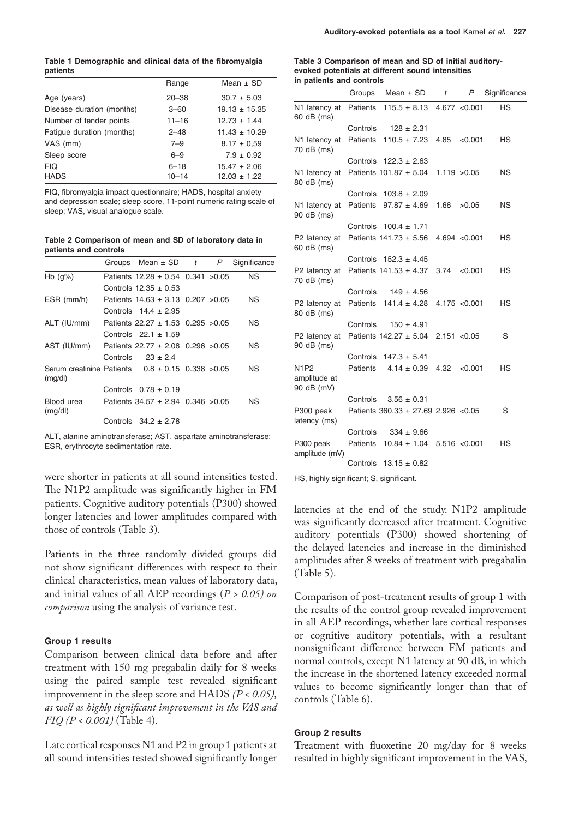**Table 1 Demographic and clinical data of the fibromyalgia patients**

|                           | Range     | Mean $\pm$ SD     |
|---------------------------|-----------|-------------------|
| Age (years)               | $20 - 38$ | $30.7 \pm 5.03$   |
| Disease duration (months) | $3 - 60$  | $19.13 \pm 15.35$ |
| Number of tender points   | $11 - 16$ | $12.73 \pm 1.44$  |
| Fatique duration (months) | $2 - 48$  | $11.43 \pm 10.29$ |
| VAS (mm)                  | $7 - 9$   | $8.17 \pm 0.59$   |
| Sleep score               | $6 - 9$   | $7.9 \pm 0.92$    |
| FIQ                       | $6 - 18$  | $15.47 \pm 2.06$  |
| <b>HADS</b>               | $10 - 14$ | $12.03 \pm 1.22$  |

FIQ, fibromyalgia impact questionnaire; HADS, hospital anxiety and depression scale; sleep score, 11-point numeric rating scale of sleep; VAS, visual analogue scale.

**Table 2 Comparison of mean and SD of laboratory data in patients and controls**

|                                                                   | Groups Mean $\pm$ SD $t$                | P | Significance |
|-------------------------------------------------------------------|-----------------------------------------|---|--------------|
| Hb $(g\%)$                                                        | Patients $12.28 \pm 0.54$ 0.341 > 0.05  |   | ΝS           |
|                                                                   | Controls $12.35 \pm 0.53$               |   |              |
| ESR (mm/h)                                                        | Patients $14.63 \pm 3.13$ 0.207 $>0.05$ |   | NS.          |
|                                                                   | Controls $14.4 \pm 2.95$                |   |              |
| ALT (IU/mm)                                                       | Patients $22.27 \pm 1.53$ 0.295 $>0.05$ |   | NS.          |
|                                                                   | Controls $22.1 \pm 1.59$                |   |              |
| AST (IU/mm) Patients $22.77 \pm 2.08$ 0.296 > 0.05                |                                         |   | NS.          |
|                                                                   | Controls $23 \pm 2.4$                   |   |              |
| Serum creatinine Patients $0.8 \pm 0.15$ 0.338 $>0.05$<br>(mg/dl) |                                         |   | NS.          |
|                                                                   | Controls $0.78 \pm 0.19$                |   |              |
| Blood urea<br>(mg/dl)                                             | Patients $34.57 \pm 2.94$ 0.346 $>0.05$ |   | ΝS           |
|                                                                   | Controls $34.2 \pm 2.78$                |   |              |

ALT, alanine aminotransferase; AST, aspartate aminotransferase; ESR, erythrocyte sedimentation rate.

were shorter in patients at all sound intensities tested. The N1P2 amplitude was significantly higher in FM patients. Cognitive auditory potentials (P300) showed longer latencies and lower amplitudes compared with those of controls (Table 3).

Patients in the three randomly divided groups did not show significant differences with respect to their clinical characteristics, mean values of laboratory data, and initial values of all AEP recordings (*P > 0.05) on comparison* using the analysis of variance test.

### **Group 1 results**

Comparison between clinical data before and after treatment with 150 mg pregabalin daily for 8 weeks using the paired sample test revealed significant improvement in the sleep score and HADS *(P < 0.05), as well as highly significant improvement in the VAS and FIQ (P < 0.001)* (Table 4).

Late cortical responses N1 and P2 in group 1 patients at all sound intensities tested showed significantly longer

#### **Table 3 Comparison of mean and SD of initial auditoryevoked potentials at different sound intensities in patients and controls**

|                                           | Groups          | Mean $\pm$ SD                            | t    | P             | Significance |
|-------------------------------------------|-----------------|------------------------------------------|------|---------------|--------------|
| N1 latency at<br>60 dB (ms)               |                 | Patients $115.5 \pm 8.13$                |      | 4.677 < 0.001 | <b>HS</b>    |
|                                           | Controls        | $128 \pm 2.31$                           |      |               |              |
| N1 latency at<br>70 dB (ms)               | <b>Patients</b> | $110.5 \pm 7.23$                         | 4.85 | < 0.001       | <b>HS</b>    |
|                                           |                 | Controls $122.3 \pm 2.63$                |      |               |              |
| N1 latency at<br>80 dB (ms)               |                 | Patients $101.87 \pm 5.04$               |      | 1.119 > 0.05  | <b>NS</b>    |
|                                           |                 | Controls $103.8 \pm 2.09$                |      |               |              |
| N1 latency at<br>90 dB (ms)               |                 | Patients $97.87 \pm 4.69$                | 1.66 | >0.05         | <b>NS</b>    |
|                                           |                 | Controls $100.4 \pm 1.71$                |      |               |              |
| P2 latency at<br>60 dB (ms)               |                 | Patients $141.73 \pm 5.56$               |      | 4.694 < 0.001 | <b>HS</b>    |
|                                           | Controls        | $152.3 \pm 4.45$                         |      |               |              |
| P2 latency at<br>70 dB (ms)               |                 | Patients $141.53 \pm 4.37$               | 3.74 | < 0.001       | <b>HS</b>    |
|                                           | Controls        | $149 \pm 4.56$                           |      |               |              |
| P2 latency at<br>80 dB (ms)               |                 | Patients $141.4 \pm 4.28$                |      | 4.175 < 0.001 | НS           |
|                                           | Controls        | $150 \pm 4.91$                           |      |               |              |
| P2 latency at<br>90 dB (ms)               |                 | Patients $142.27 \pm 5.04$               |      | 2.151 < 0.05  | S            |
|                                           |                 | Controls $147.3 \pm 5.41$                |      |               |              |
| <b>N1P2</b><br>amplitude at<br>90 dB (mV) | <b>Patients</b> | $4.14 \pm 0.39$                          | 4.32 | < 0.001       | <b>HS</b>    |
|                                           | Controls        | $3.56 \pm 0.31$                          |      |               |              |
| P300 peak<br>latency (ms)                 |                 | Patients $360.33 \pm 27.69$ 2.926 < 0.05 |      |               | S            |
|                                           | Controls        | $334 \pm 9.66$                           |      |               |              |
| P300 peak<br>amplitude (mV)               |                 | Patients $10.84 \pm 1.04$                |      | 5.516 < 0.001 | НS           |
|                                           | Controls        | $13.15 \pm 0.82$                         |      |               |              |

HS, highly significant; S, significant.

latencies at the end of the study. N1P2 amplitude was significantly decreased after treatment. Cognitive auditory potentials (P300) showed shortening of the delayed latencies and increase in the diminished amplitudes after 8 weeks of treatment with pregabalin (Table 5).

Comparison of post-treatment results of group 1 with the results of the control group revealed improvement in all AEP recordings, whether late cortical responses or cognitive auditory potentials, with a resultant nonsignificant difference between FM patients and normal controls, except N1 latency at 90 dB, in which the increase in the shortened latency exceeded normal values to become significantly longer than that of controls (Table 6).

### **Group 2 results**

Treatment with fluoxetine 20 mg/day for 8 weeks resulted in highly significant improvement in the VAS,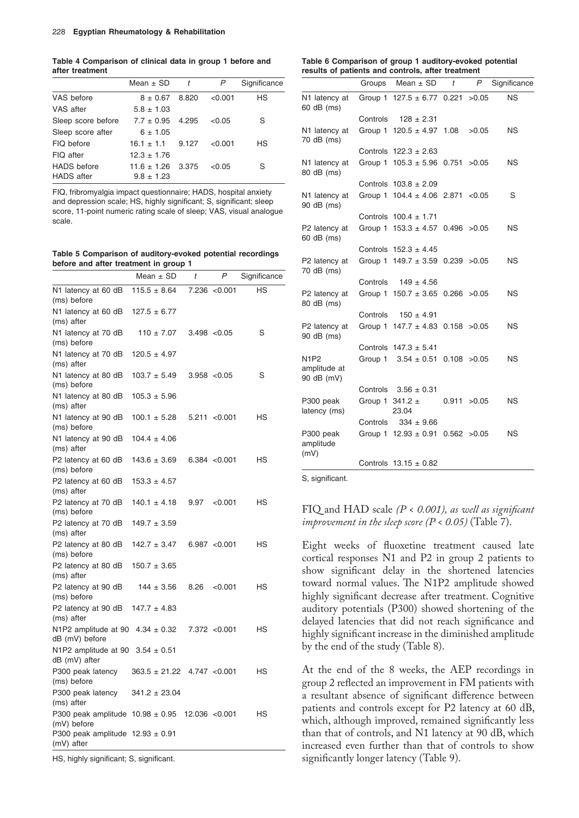**Table 4 Comparison of clinical data in group 1 before and after treatment**

|                    | Mean $\pm$ SD         | t     | P       | Significance |
|--------------------|-----------------------|-------|---------|--------------|
| VAS before         | $8 \pm 0.67$          | 8.820 | < 0.001 | HS           |
| VAS after          | $5.8 \pm 1.03$        |       |         |              |
| Sleep score before | $7.7 \pm 0.95$        | 4.295 | < 0.05  | S            |
| Sleep score after  | $6 \pm 1.05$          |       |         |              |
| FIQ before         | $16.1 \pm 1.1$ 9.127  |       | < 0.001 | HS           |
| FIQ after          | $12.3 \pm 1.76$       |       |         |              |
| <b>HADS</b> before | $11.6 \pm 1.26$ 3.375 |       | < 0.05  | S            |
| <b>HADS</b> after  | $9.8 \pm 1.23$        |       |         |              |

FIQ, fribromyalgia impact questionnaire; HADS, hospital anxiety and depression scale; HS, highly significant; S, significant; sleep score, 11-point numeric rating scale of sleep; VAS, visual analogue scale.

**Table 5 Comparison of auditory-evoked potential recordings before and after treatment in group 1**

|                                                        | Mean $\pm$ SD                   | t              | Ρ             | Significance |
|--------------------------------------------------------|---------------------------------|----------------|---------------|--------------|
| N1 latency at 60 dB<br>(ms) before                     | $115.5 \pm 8.64$                |                | 7.236 < 0.001 | НS           |
| N1 latency at 60 dB<br>(ms) after                      | $127.5 \pm 6.77$                |                |               |              |
| N1 latency at 70 dB<br>(ms) before                     | $110 \pm 7.07$                  |                | 3.498 < 0.05  | S            |
| N1 latency at 70 dB<br>(ms) after                      | $120.5 \pm 4.97$                |                |               |              |
| N1 latency at 80 dB<br>(ms) before                     | $103.7 \pm 5.49$                |                | 3.958 < 0.05  | S            |
| N1 latency at 80 dB<br>(ms) after                      | $105.3 \pm 5.96$                |                |               |              |
| N1 latency at 90 dB<br>(ms) before                     | $100.1 \pm 5.28$                |                | 5.211 < 0.001 | НS           |
| N1 latency at 90 dB<br>(ms) after                      | $104.4 \pm 4.06$                |                |               |              |
| P2 latency at 60 dB<br>(ms) before                     | $143.6 \pm 3.69$                |                | 6.384 < 0.001 | НS           |
| P2 latency at 60 dB<br>(ms) after                      | $153.3 \pm 4.57$                |                |               |              |
| P2 latency at 70 dB<br>(ms) before                     | $140.1 \pm 4.18$                | 9.97           | $<$ 0.001 $<$ | НS           |
| P2 latency at 70 dB<br>(ms) after                      | $149.7 \pm 3.59$                |                |               |              |
| P2 latency at 80 dB<br>(ms) before                     | $142.7 \pm 3.47$                |                | 6.987 < 0.001 | НS           |
| P2 latency at 80 dB<br>(ms) after                      | $150.7 \pm 3.65$                |                |               |              |
| P2 latency at 90 dB<br>(ms) before                     | $144 \pm 3.56$                  | 8.26           | < 0.001       | НS           |
| P2 latency at 90 dB<br>(ms) after                      | $147.7 \pm 4.83$                |                |               |              |
| N1P2 amplitude at 90 $4.34 \pm 0.32$<br>dB (mV) before |                                 |                | 7.372 < 0.001 | НS           |
| N1P2 amplitude at 90<br>dB (mV) after                  | $3.54 \pm 0.51$                 |                |               |              |
| P300 peak latency<br>(ms) before                       | $363.5 \pm 21.22$ 4.747 < 0.001 |                |               | НS           |
| P300 peak latency<br>(ms) after                        | $341.2 \pm 23.04$               |                |               |              |
| P300 peak amplitude $10.98 \pm 0.95$<br>(mV) before    |                                 | 12.036 < 0.001 |               | НS           |
| P300 peak amplitude $12.93 \pm 0.91$<br>(mV) after     |                                 |                |               |              |

HS, highly significant; S, significant.

#### **Table 6 Comparison of group 1 auditory-evoked potential results of patients and controls, after treatment**

|                                    |                     | Groups Mean $\pm$ SD                   | t | P            | Significance |
|------------------------------------|---------------------|----------------------------------------|---|--------------|--------------|
| N1 latency at<br>60 dB (ms)        |                     | Group 1 $127.5 \pm 6.77$ 0.221 $>0.05$ |   |              | <b>NS</b>    |
|                                    |                     | Controls $128 \pm 2.31$                |   |              |              |
| N1 latency at<br>70 dB (ms)        |                     | Group 1 $120.5 \pm 4.97$ 1.08 $>0.05$  |   |              | <b>NS</b>    |
|                                    |                     | Controls $122.3 \pm 2.63$              |   |              |              |
| N1 latency at<br>80 dB (ms)        |                     | Group 1 $105.3 \pm 5.96$ 0.751 $>0.05$ |   |              | NS.          |
|                                    |                     | Controls $103.8 \pm 2.09$              |   |              |              |
| N1 latency at<br>90 dB (ms)        |                     | Group 1 $104.4 \pm 4.06$ 2.871 < 0.05  |   |              | S            |
|                                    |                     | Controls $100.4 \pm 1.71$              |   |              |              |
| P2 latency at<br>60 dB (ms)        |                     | Group 1 $153.3 \pm 4.57$ 0.496 > 0.05  |   |              | <b>NS</b>    |
|                                    |                     | Controls $152.3 \pm 4.45$              |   |              |              |
| P2 latency at<br>70 dB (ms)        |                     | Group 1 $149.7 \pm 3.59$ 0.239 $>0.05$ |   |              | <b>NS</b>    |
|                                    |                     | Controls $149 \pm 4.56$                |   |              |              |
| P2 latency at<br>80 dB (ms)        |                     | Group 1 $150.7 \pm 3.65$ 0.266 $>0.05$ |   |              | <b>NS</b>    |
|                                    |                     | Controls $150 \pm 4.91$                |   |              |              |
| P2 latency at<br>90 dB (ms)        |                     | Group 1 $147.7 \pm 4.83$ 0.158 $>0.05$ |   |              | NS.          |
|                                    |                     | Controls $147.3 \pm 5.41$              |   |              |              |
| N1P2<br>amplitude at<br>90 dB (mV) |                     | Group 1 $3.54 \pm 0.51$ 0.108 > 0.05   |   |              | NS.          |
|                                    |                     | Controls $3.56 \pm 0.31$               |   |              |              |
| P300 peak<br>latency (ms)          | Group 1 $341.2 \pm$ | 23.04                                  |   | 0.911 > 0.05 | NS.          |
|                                    |                     | Controls $334 \pm 9.66$                |   |              |              |
| P300 peak<br>amplitude<br>(mV)     |                     | Group 1 $12.93 \pm 0.91$ 0.562 > 0.05  |   |              | <b>NS</b>    |
|                                    |                     | Controls $13.15 \pm 0.82$              |   |              |              |
|                                    |                     |                                        |   |              |              |

S, significant.

### FIQ and HAD scale *(P < 0.001), as well as significant improvement in the sleep score*  $(P < 0.05)$  *(Table 7).*

Eight weeks of fluoxetine treatment caused late cortical responses N1 and P2 in group 2 patients to show significant delay in the shortened latencies toward normal values. The N1P2 amplitude showed highly significant decrease after treatment. Cognitive auditory potentials (P300) showed shortening of the delayed latencies that did not reach significance and highly significant increase in the diminished amplitude by the end of the study (Table 8).

At the end of the 8 weeks, the AEP recordings in group 2 reflected an improvement in FM patients with a resultant absence of significant difference between patients and controls except for P2 latency at 60 dB, which, although improved, remained significantly less than that of controls, and N1 latency at 90 dB, which increased even further than that of controls to show significantly longer latency (Table 9).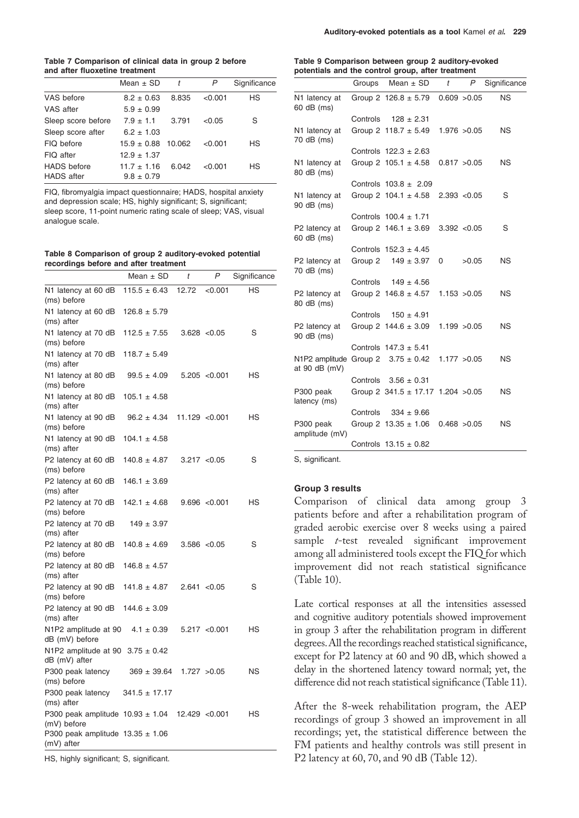**Table 7 Comparison of clinical data in group 2 before and after fluoxetine treatment**

|                    | Mean $\pm$ SD   | $\mathbf{t}$ | P       | Significance |
|--------------------|-----------------|--------------|---------|--------------|
| VAS before         | $8.2 \pm 0.63$  | 8.835        | < 0.001 | HS           |
| VAS after          | $5.9 \pm 0.99$  |              |         |              |
| Sleep score before | $7.9 \pm 1.1$   | 3.791        | < 0.05  | S            |
| Sleep score after  | $6.2 \pm 1.03$  |              |         |              |
| FIQ before         | $15.9 \pm 0.88$ | 10.062       | < 0.001 | HS           |
| FIQ after          | $12.9 \pm 1.37$ |              |         |              |
| <b>HADS</b> before | $11.7 \pm 1.16$ | 6.042        | < 0.001 | НS           |
| <b>HADS</b> after  | $9.8 \pm 0.79$  |              |         |              |

FIQ, fibromyalgia impact questionnaire; HADS, hospital anxiety and depression scale; HS, highly significant; S, significant; sleep score, 11-point numeric rating scale of sleep; VAS, visual analogue scale.

**Table 8 Comparison of group 2 auditory-evoked potential recordings before and after treatment**

|                                                                 | Mean $\pm$ SD     | t              | Ρ              | Significance |
|-----------------------------------------------------------------|-------------------|----------------|----------------|--------------|
| N1 latency at 60 dB<br>(ms) before                              | $115.5 \pm 6.43$  | 12.72          | < 0.001        | HS           |
| N1 latency at 60 dB<br>(ms) after                               | $126.8 \pm 5.79$  |                |                |              |
| N1 latency at 70 dB<br>(ms) before                              | $112.5 \pm 7.55$  |                | 3.628 < 0.05   | S            |
| N1 latency at 70 dB<br>(ms) after                               | $118.7 \pm 5.49$  |                |                |              |
| N1 latency at 80 dB<br>(ms) before                              | $99.5 \pm 4.09$   |                | 5.205 < 0.001  | НS           |
| N1 latency at 80 dB<br>(ms) after                               | $105.1 \pm 4.58$  |                |                |              |
| N1 latency at 90 dB<br>(ms) before                              | $96.2 \pm 4.34$   | 11.129 < 0.001 |                | НS           |
| N1 latency at 90 dB<br>(ms) after                               | $104.1 \pm 4.58$  |                |                |              |
| P2 latency at 60 dB<br>(ms) before                              | $140.8 \pm 4.87$  |                | 3.217 < 0.05   | S            |
| P2 latency at 60 dB<br>(ms) after                               | $146.1 \pm 3.69$  |                |                |              |
| P2 latency at 70 dB<br>(ms) before                              | $142.1 \pm 4.68$  |                | 9.696 < 0.001  | НS           |
| P2 latency at 70 dB<br>(ms) after                               | $149 \pm 3.97$    |                |                |              |
| P2 latency at 80 dB<br>(ms) before                              | $140.8 \pm 4.69$  |                | 3.586 < 0.05   | S            |
| P2 latency at 80 dB<br>(ms) after                               | $146.8 \pm 4.57$  |                |                |              |
| P2 latency at 90 dB<br>(ms) before                              | $141.8 \pm 4.87$  |                | 2.641 < 0.05   | S            |
| P2 latency at 90 dB<br>(ms) after                               | $144.6 \pm 3.09$  |                |                |              |
| N <sub>1</sub> P <sub>2</sub> amplitude at 90<br>dB (mV) before | $4.1 \pm 0.39$    |                | 5.217 < 0.001  | НS           |
| N1P2 amplitude at 90 $3.75 \pm 0.42$<br>dB (mV) after           |                   |                |                |              |
| P300 peak latency<br>(ms) before                                | $369 \pm 39.64$   |                | 1.727 > 0.05   | NS           |
| P300 peak latency<br>(ms) after                                 | $341.5 \pm 17.17$ |                |                |              |
| P300 peak amplitude $10.93 \pm 1.04$<br>(mV) before             |                   |                | 12.429 < 0.001 | НS           |
| P300 peak amplitude $13.35 \pm 1.06$<br>(mV) after              |                   |                |                |              |
|                                                                 |                   |                |                |              |

HS, highly significant; S, significant.

#### **Table 9 Comparison between group 2 auditory-evoked potentials and the control group, after treatment**

|                                                         |          | Groups Mean $\pm$ SD                   | t | P            | Significance |
|---------------------------------------------------------|----------|----------------------------------------|---|--------------|--------------|
| N1 latency at<br>60 dB (ms)                             |          | Group 2 $126.8 \pm 5.79$               |   | 0.609 > 0.05 | <b>NS</b>    |
|                                                         |          | Controls $128 \pm 2.31$                |   |              |              |
| N1 latency at<br>70 dB (ms)                             |          | Group 2 $118.7 \pm 5.49$ 1.976 > 0.05  |   |              | <b>NS</b>    |
|                                                         |          | Controls $122.3 \pm 2.63$              |   |              |              |
| N1 latency at<br>80 dB (ms)                             |          | Group 2 $105.1 \pm 4.58$               |   | 0.817 > 0.05 | <b>NS</b>    |
|                                                         |          | Controls $103.8 \pm 2.09$              |   |              |              |
| N1 latency at<br>90 dB (ms)                             |          | Group 2 $104.1 \pm 4.58$               |   | 2.393 < 0.05 | S            |
|                                                         |          | Controls $100.4 \pm 1.71$              |   |              |              |
| P2 latency at<br>60 dB (ms)                             |          | Group 2 $146.1 \pm 3.69$               |   | 3.392 < 0.05 | S            |
|                                                         |          | Controls $152.3 \pm 4.45$              |   |              |              |
| P2 latency at<br>70 dB (ms)                             |          | Group 2 $149 \pm 3.97$                 | 0 | >0.05        | <b>NS</b>    |
|                                                         |          | Controls $149 \pm 4.56$                |   |              |              |
| P2 latency at<br>80 dB (ms)                             |          | Group 2 $146.8 \pm 4.57$               |   | 1.153 > 0.05 | <b>NS</b>    |
|                                                         | Controls | $150 \pm 4.91$                         |   |              |              |
| P2 latency at<br>90 dB (ms)                             |          | Group 2 $144.6 \pm 3.09$ 1.199 $>0.05$ |   |              | <b>NS</b>    |
|                                                         |          | Controls $147.3 \pm 5.41$              |   |              |              |
| N1P2 amplitude Group 2 $3.75 \pm 0.42$<br>at 90 dB (mV) |          |                                        |   | 1.177 > 0.05 | <b>NS</b>    |
|                                                         |          | Controls $3.56 \pm 0.31$               |   |              |              |
| P300 peak<br>latency (ms)                               |          | Group 2 $341.5 \pm 17.17$ 1.204 > 0.05 |   |              | <b>NS</b>    |
|                                                         |          | Controls $334 \pm 9.66$                |   |              |              |
| P300 peak<br>amplitude (mV)                             |          | Group 2 $13.35 \pm 1.06$               |   | 0.468 > 0.05 | <b>NS</b>    |
|                                                         |          | Controls $13.15 \pm 0.82$              |   |              |              |

S, significant.

### **Group 3 results**

Comparison of clinical data among group 3 patients before and after a rehabilitation program of graded aerobic exercise over 8 weeks using a paired sample *t*-test revealed significant improvement among all administered tools except the FIQ for which improvement did not reach statistical significance (Table 10).

Late cortical responses at all the intensities assessed and cognitive auditory potentials showed improvement in group 3 after the rehabilitation program in different degrees. All the recordings reached statistical significance, except for P2 latency at 60 and 90 dB, which showed a delay in the shortened latency toward normal; yet, the difference did not reach statistical significance (Table 11).

After the 8-week rehabilitation program, the AEP recordings of group 3 showed an improvement in all recordings; yet, the statistical difference between the FM patients and healthy controls was still present in P2 latency at 60, 70, and 90 dB (Table 12).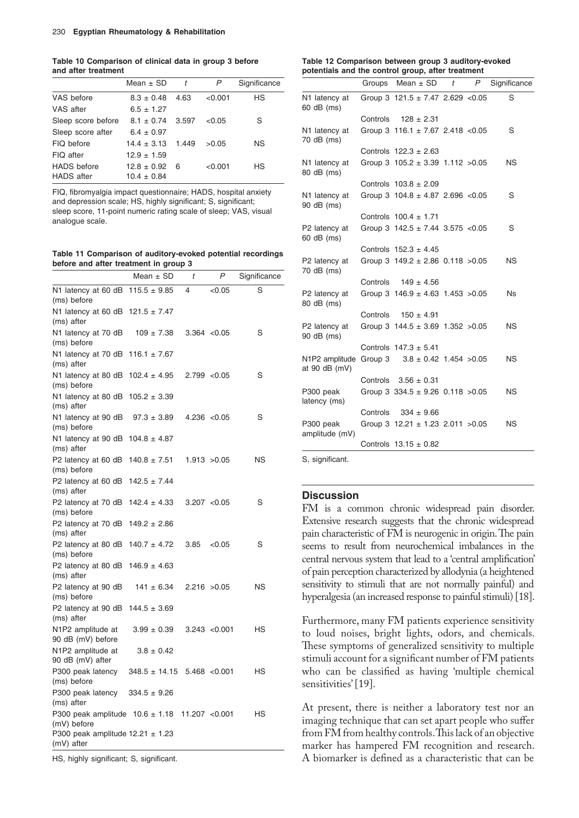**Table 10 Comparison of clinical data in group 3 before and after treatment**

|                    | Mean $\pm$ SD         | $\mathbf{t}$ | P       | Significance |
|--------------------|-----------------------|--------------|---------|--------------|
| VAS before         | $8.3 \pm 0.48$        | 4.63         | < 0.001 | HS           |
| VAS after          | $6.5 \pm 1.27$        |              |         |              |
| Sleep score before | $8.1 \pm 0.74$        | 3.597        | < 0.05  | S            |
| Sleep score after  | $6.4 \pm 0.97$        |              |         |              |
| FIQ before         | $14.4 \pm 3.13$ 1.449 |              | >0.05   | ΝS           |
| FIQ after          | $12.9 \pm 1.59$       |              |         |              |
| <b>HADS</b> before | $12.8 \pm 0.92$       | 6            | < 0.001 | HS           |
| <b>HADS</b> after  | $10.4 \pm 0.84$       |              |         |              |

FIQ, fibromyalgia impact questionnaire; HADS, hospital anxiety and depression scale; HS, highly significant; S, significant; sleep score, 11-point numeric rating scale of sleep; VAS, visual analogue scale.

**Table 11 Comparison of auditory-evoked potential recordings before and after treatment in group 3**

|                                                                 | Mean $\pm$ SD     | t              | P             | Significance |
|-----------------------------------------------------------------|-------------------|----------------|---------------|--------------|
| N1 latency at 60 dB<br>(ms) before                              | $115.5 \pm 9.85$  | 4              | < 0.05        | S            |
| N1 latency at 60 dB<br>(ms) after                               | $121.5 \pm 7.47$  |                |               |              |
| N1 latency at 70 dB<br>(ms) before                              | $109 \pm 7.38$    |                | 3.364 < 0.05  | S            |
| N1 latency at 70 dB<br>(ms) after                               | $116.1 \pm 7.67$  |                |               |              |
| N1 latency at 80 dB<br>(ms) before                              | $102.4 \pm 4.95$  | 2.799 < 0.05   |               | S            |
| N1 latency at 80 dB<br>(ms) after                               | $105.2 \pm 3.39$  |                |               |              |
| N1 latency at 90 dB<br>(ms) before                              | $97.3 \pm 3.89$   |                | 4.236 < 0.05  | S            |
| N1 latency at 90 dB<br>(ms) after                               | $104.8 \pm 4.87$  |                |               |              |
| P2 latency at 60 dB<br>(ms) before                              | $140.8 \pm 7.51$  |                | 1.913 > 0.05  | NS           |
| P2 latency at 60 dB<br>(ms) after                               | $142.5 \pm 7.44$  |                |               |              |
| P2 latency at 70 dB<br>(ms) before                              | $142.4 \pm 4.33$  |                | 3.207 < 0.05  | S            |
| P2 latency at 70 dB<br>(ms) after                               | $149.2 \pm 2.86$  |                |               |              |
| P2 latency at 80 dB<br>(ms) before                              | $140.7 \pm 4.72$  | 3.85           | < 0.05        | S            |
| P2 latency at 80 dB $146.9 \pm 4.63$<br>(ms) after              |                   |                |               |              |
| P2 latency at 90 dB<br>(ms) before                              | $141 \pm 6.34$    | 2.216 > 0.05   |               | ΝS           |
| P2 latency at 90 dB<br>(ms) after                               | $144.5 \pm 3.69$  |                |               |              |
| N <sub>1</sub> P <sub>2</sub> amplitude at<br>90 dB (mV) before | $3.99 \pm 0.39$   |                | 3.243 < 0.001 | НS           |
| N1P2 amplitude at<br>90 dB (mV) after                           | $3.8 \pm 0.42$    |                |               |              |
| P300 peak latency<br>(ms) before                                | $348.5 \pm 14.15$ |                | 5.468 < 0.001 | НS           |
| P300 peak latency<br>(ms) after                                 | $334.5 \pm 9.26$  |                |               |              |
| P300 peak amplitude $10.6 \pm 1.18$<br>(mV) before              |                   | 11.207 < 0.001 |               | НS           |
| P300 peak amplitude $12.21 \pm 1.23$<br>(mV) after              |                   |                |               |              |

HS, highly significant; S, significant.

#### **Table 12 Comparison between group 3 auditory-evoked potentials and the control group, after treatment**

|                                                                     | Groups | Mean $\pm$ SD                         | t | P | Significance |
|---------------------------------------------------------------------|--------|---------------------------------------|---|---|--------------|
| N1 latency at<br>60 dB (ms)                                         |        | Group 3 $121.5 \pm 7.47$ 2.629 < 0.05 |   |   | S            |
|                                                                     |        | Controls $128 \pm 2.31$               |   |   |              |
| N1 latency at<br>70 dB (ms)                                         |        | Group 3 $116.1 \pm 7.67$ 2.418 < 0.05 |   |   | S            |
|                                                                     |        | Controls $122.3 \pm 2.63$             |   |   |              |
| N1 latency at<br>80 dB (ms)                                         |        | Group 3 $105.2 \pm 3.39$ 1.112 > 0.05 |   |   | <b>NS</b>    |
|                                                                     |        | Controls $103.8 \pm 2.09$             |   |   |              |
| N1 latency at<br>90 dB (ms)                                         |        | Group 3 $104.8 \pm 4.87$ 2.696 < 0.05 |   |   | S            |
|                                                                     |        | Controls $100.4 \pm 1.71$             |   |   |              |
| P2 latency at<br>60 dB (ms)                                         |        | Group 3 $142.5 \pm 7.44$ 3.575 < 0.05 |   |   | S            |
|                                                                     |        | Controls $152.3 \pm 4.45$             |   |   |              |
| P2 latency at<br>70 dB (ms)                                         |        | Group 3 $149.2 \pm 2.86$ 0.118 > 0.05 |   |   | ΝS           |
|                                                                     |        | Controls $149 \pm 4.56$               |   |   |              |
| P2 latency at<br>80 dB (ms)                                         |        | Group 3 $146.9 \pm 4.63$ 1.453 > 0.05 |   |   | <b>Ns</b>    |
|                                                                     |        | Controls $150 \pm 4.91$               |   |   |              |
| P2 latency at<br>90 dB (ms)                                         |        | Group 3 $144.5 \pm 3.69$ 1.352 > 0.05 |   |   | ΝS           |
|                                                                     |        | Controls $147.3 \pm 5.41$             |   |   |              |
| N1P2 amplitude Group 3 $3.8 \pm 0.42$ 1.454 > 0.05<br>at 90 dB (mV) |        |                                       |   |   | ΝS           |
|                                                                     |        | Controls $3.56 \pm 0.31$              |   |   |              |
| P300 peak<br>latency (ms)                                           |        | Group 3 $334.5 \pm 9.26$ 0.118 > 0.05 |   |   | ΝS           |
|                                                                     |        | Controls $334 \pm 9.66$               |   |   |              |
| P300 peak<br>amplitude (mV)                                         |        | Group 3 $12.21 \pm 1.23$ 2.011 > 0.05 |   |   | ΝS           |
|                                                                     |        | Controls $13.15 \pm 0.82$             |   |   |              |
|                                                                     |        |                                       |   |   |              |

S, significant.

### **Discussion**

FM is a common chronic widespread pain disorder. Extensive research suggests that the chronic widespread pain characteristic of FM is neurogenic in origin. The pain seems to result from neurochemical imbalances in the central nervous system that lead to a 'central amplification' of pain perception characterized by allodynia (a heightened sensitivity to stimuli that are not normally painful) and hyperalgesia (an increased response to painful stimuli) [18].

Furthermore, many FM patients experience sensitivity to loud noises, bright lights, odors, and chemicals. These symptoms of generalized sensitivity to multiple stimuli account for a significant number of FM patients who can be classified as having 'multiple chemical sensitivities' [19].

At present, there is neither a laboratory test nor an imaging technique that can set apart people who suffer from FM from healthy controls. This lack of an objective marker has hampered FM recognition and research. A biomarker is defined as a characteristic that can be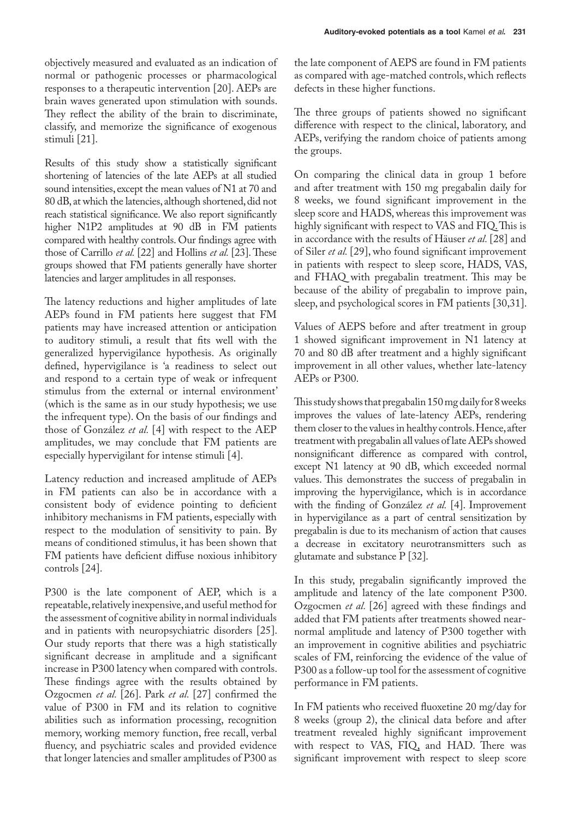objectively measured and evaluated as an indication of normal or pathogenic processes or pharmacological responses to a therapeutic intervention [20]. AEPs are brain waves generated upon stimulation with sounds. They reflect the ability of the brain to discriminate, classify, and memorize the significance of exogenous stimuli [21].

Results of this study show a statistically significant shortening of latencies of the late AEPs at all studied sound intensities, except the mean values of N1 at 70 and 80 dB, at which the latencies, although shortened, did not reach statistical significance. We also report significantly higher N1P2 amplitudes at 90 dB in FM patients compared with healthy controls. Our findings agree with those of Carrillo *et al.* [22] and Hollins *et al.* [23]. These groups showed that FM patients generally have shorter latencies and larger amplitudes in all responses.

The latency reductions and higher amplitudes of late AEPs found in FM patients here suggest that FM patients may have increased attention or anticipation to auditory stimuli, a result that fits well with the generalized hypervigilance hypothesis. As originally defined, hypervigilance is 'a readiness to select out and respond to a certain type of weak or infrequent stimulus from the external or internal environment' (which is the same as in our study hypothesis; we use the infrequent type). On the basis of our findings and those of González *et al.* [4] with respect to the AEP amplitudes, we may conclude that FM patients are especially hypervigilant for intense stimuli [4].

Latency reduction and increased amplitude of AEPs in FM patients can also be in accordance with a consistent body of evidence pointing to deficient inhibitory mechanisms in FM patients, especially with respect to the modulation of sensitivity to pain. By means of conditioned stimulus, it has been shown that FM patients have deficient diffuse noxious inhibitory controls [24].

P300 is the late component of AEP, which is a repeatable, relatively inexpensive, and useful method for the assessment of cognitive ability in normal individuals and in patients with neuropsychiatric disorders [25]. Our study reports that there was a high statistically significant decrease in amplitude and a significant increase in P300 latency when compared with controls. These findings agree with the results obtained by Ozgocmen *et al.* [26]. Park *et al.* [27] confirmed the value of P300 in FM and its relation to cognitive abilities such as information processing, recognition memory, working memory function, free recall, verbal fluency, and psychiatric scales and provided evidence that longer latencies and smaller amplitudes of P300 as

the late component of AEPS are found in FM patients as compared with age-matched controls, which reflects defects in these higher functions.

The three groups of patients showed no significant difference with respect to the clinical, laboratory, and AEPs, verifying the random choice of patients among the groups.

On comparing the clinical data in group 1 before and after treatment with 150 mg pregabalin daily for 8 weeks, we found significant improvement in the sleep score and HADS, whereas this improvement was highly significant with respect to VAS and FIQ. This is in accordance with the results of Häuser *et al.* [28] and of Siler *et al.* [29], who found significant improvement in patients with respect to sleep score, HADS, VAS, and FHAQ with pregabalin treatment. This may be because of the ability of pregabalin to improve pain, sleep, and psychological scores in FM patients [30,31].

Values of AEPS before and after treatment in group 1 showed significant improvement in N1 latency at 70 and 80 dB after treatment and a highly significant improvement in all other values, whether late-latency AEPs or P300.

This study shows that pregabalin 150 mg daily for 8 weeks improves the values of late-latency AEPs, rendering them closer to the values in healthy controls. Hence, after treatment with pregabalin all values of late AEPs showed nonsignificant difference as compared with control, except N1 latency at 90 dB, which exceeded normal values. This demonstrates the success of pregabalin in improving the hypervigilance, which is in accordance with the finding of González *et al.* [4]. Improvement in hypervigilance as a part of central sensitization by pregabalin is due to its mechanism of action that causes a decrease in excitatory neurotransmitters such as glutamate and substance P [32].

In this study, pregabalin significantly improved the amplitude and latency of the late component P300. Ozgocmen *et al.* [26] agreed with these findings and added that FM patients after treatments showed nearnormal amplitude and latency of P300 together with an improvement in cognitive abilities and psychiatric scales of FM, reinforcing the evidence of the value of P300 as a follow-up tool for the assessment of cognitive performance in FM patients.

In FM patients who received fluoxetine 20 mg/day for 8 weeks (group 2), the clinical data before and after treatment revealed highly significant improvement with respect to VAS, FIQ, and HAD. There was significant improvement with respect to sleep score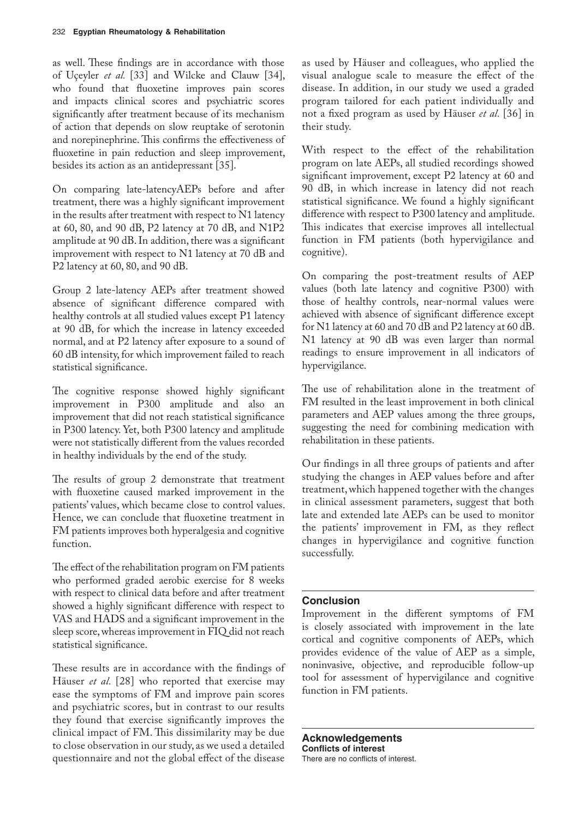as well. These findings are in accordance with those of Uçeyler *et al.* [33] and Wilcke and Clauw [34], who found that fluoxetine improves pain scores and impacts clinical scores and psychiatric scores significantly after treatment because of its mechanism of action that depends on slow reuptake of serotonin and norepinephrine. This confirms the effectiveness of fluoxetine in pain reduction and sleep improvement, besides its action as an antidepressant [35].

On comparing late-latencyAEPs before and after treatment, there was a highly significant improvement in the results after treatment with respect to N1 latency at 60, 80, and 90 dB, P2 latency at 70 dB, and N1P2 amplitude at 90 dB. In addition, there was a significant improvement with respect to N1 latency at 70 dB and P2 latency at 60, 80, and 90 dB.

Group 2 late-latency AEPs after treatment showed absence of significant difference compared with healthy controls at all studied values except P1 latency at 90 dB, for which the increase in latency exceeded normal, and at P2 latency after exposure to a sound of 60 dB intensity, for which improvement failed to reach statistical significance.

The cognitive response showed highly significant improvement in P300 amplitude and also an improvement that did not reach statistical significance in P300 latency. Yet, both P300 latency and amplitude were not statistically different from the values recorded in healthy individuals by the end of the study.

The results of group 2 demonstrate that treatment with fluoxetine caused marked improvement in the patients' values, which became close to control values. Hence, we can conclude that fluoxetine treatment in FM patients improves both hyperalgesia and cognitive function.

The effect of the rehabilitation program on FM patients who performed graded aerobic exercise for 8 weeks with respect to clinical data before and after treatment showed a highly significant difference with respect to VAS and HADS and a significant improvement in the sleep score, whereas improvement in FIQ did not reach statistical significance.

These results are in accordance with the findings of Häuser *et al.* [28] who reported that exercise may ease the symptoms of FM and improve pain scores and psychiatric scores, but in contrast to our results they found that exercise significantly improves the clinical impact of FM. This dissimilarity may be due to close observation in our study, as we used a detailed questionnaire and not the global effect of the disease

as used by Häuser and colleagues, who applied the visual analogue scale to measure the effect of the disease. In addition, in our study we used a graded program tailored for each patient individually and not a fixed program as used by Häuser *et al.* [36] in their study.

With respect to the effect of the rehabilitation program on late AEPs, all studied recordings showed significant improvement, except P2 latency at 60 and 90 dB, in which increase in latency did not reach statistical significance. We found a highly significant difference with respect to P300 latency and amplitude. This indicates that exercise improves all intellectual function in FM patients (both hypervigilance and cognitive).

On comparing the post-treatment results of AEP values (both late latency and cognitive P300) with those of healthy controls, near-normal values were achieved with absence of significant difference except for N1 latency at 60 and 70 dB and P2 latency at 60 dB. N1 latency at 90 dB was even larger than normal readings to ensure improvement in all indicators of hypervigilance.

The use of rehabilitation alone in the treatment of FM resulted in the least improvement in both clinical parameters and AEP values among the three groups, suggesting the need for combining medication with rehabilitation in these patients.

Our findings in all three groups of patients and after studying the changes in AEP values before and after treatment, which happened together with the changes in clinical assessment parameters, suggest that both late and extended late AEPs can be used to monitor the patients' improvement in FM, as they reflect changes in hypervigilance and cognitive function successfully.

### **Conclusion**

Improvement in the different symptoms of FM is closely associated with improvement in the late cortical and cognitive components of AEPs, which provides evidence of the value of AEP as a simple, noninvasive, objective, and reproducible follow-up tool for assessment of hypervigilance and cognitive function in FM patients.

**Acknowledgements Conflicts of interest** There are no conflicts of interest.